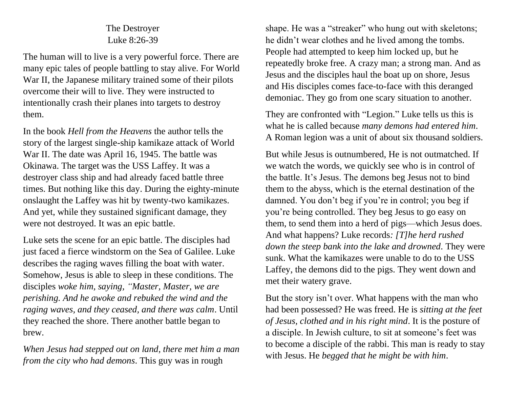## The Destroyer Luke 8:26-39

The human will to live is a very powerful force. There are many epic tales of people battling to stay alive. For World War II, the Japanese military trained some of their pilots overcome their will to live. They were instructed to intentionally crash their planes into targets to destroy them.

In the book *Hell from the Heavens* the author tells the story of the largest single-ship kamikaze attack of World War II. The date was April 16, 1945. The battle was Okinawa. The target was the USS Laffey. It was a destroyer class ship and had already faced battle three times. But nothing like this day. During the eighty-minute onslaught the Laffey was hit by twenty-two kamikazes. And yet, while they sustained significant damage, they were not destroyed. It was an epic battle.

Luke sets the scene for an epic battle. The disciples had just faced a fierce windstorm on the Sea of Galilee. Luke describes the raging waves filling the boat with water. Somehow, Jesus is able to sleep in these conditions. The disciples *woke him, saying, "Master, Master, we are perishing. And he awoke and rebuked the wind and the raging waves, and they ceased, and there was calm*. Until they reached the shore. There another battle began to brew.

*When Jesus had stepped out on land, there met him a man from the city who had demons*. This guy was in rough

shape. He was a "streaker" who hung out with skeletons; he didn't wear clothes and he lived among the tombs. People had attempted to keep him locked up, but he repeatedly broke free. A crazy man; a strong man. And as Jesus and the disciples haul the boat up on shore, Jesus and His disciples comes face-to-face with this deranged demoniac. They go from one scary situation to another.

They are confronted with "Legion." Luke tells us this is what he is called because *many demons had entered him*. A Roman legion was a unit of about six thousand soldiers.

But while Jesus is outnumbered, He is not outmatched. If we watch the words, we quickly see who is in control of the battle. It's Jesus. The demons beg Jesus not to bind them to the abyss, which is the eternal destination of the damned. You don't beg if you're in control; you beg if you're being controlled. They beg Jesus to go easy on them, to send them into a herd of pigs—which Jesus does. And what happens? Luke records*: [T]he herd rushed down the steep bank into the lake and drowned.* They were sunk. What the kamikazes were unable to do to the USS Laffey, the demons did to the pigs. They went down and met their watery grave.

But the story isn't over. What happens with the man who had been possessed? He was freed. He is *sitting at the feet of Jesus, clothed and in his right mind*. It is the posture of a disciple. In Jewish culture, to sit at someone's feet was to become a disciple of the rabbi. This man is ready to stay with Jesus. He *begged that he might be with him*.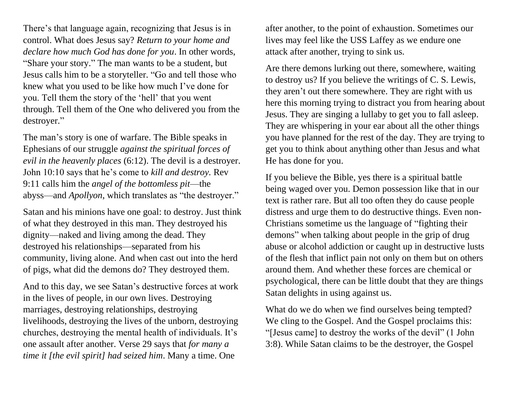There's that language again, recognizing that Jesus is in control. What does Jesus say? *Return to your home and declare how much God has done for you*. In other words, "Share your story." The man wants to be a student, but Jesus calls him to be a storyteller. "Go and tell those who knew what you used to be like how much I've done for you. Tell them the story of the 'hell' that you went through. Tell them of the One who delivered you from the destroyer."

The man's story is one of warfare. The Bible speaks in Ephesians of our struggle *against the spiritual forces of evil in the heavenly places* (6:12). The devil is a destroyer. John 10:10 says that he's come to *kill and destroy.* Rev 9:11 calls him the *angel of the bottomless pit*—the abyss—and *Apollyon*, which translates as "the destroyer."

Satan and his minions have one goal: to destroy. Just think of what they destroyed in this man. They destroyed his dignity—naked and living among the dead. They destroyed his relationships—separated from his community, living alone. And when cast out into the herd of pigs, what did the demons do? They destroyed them.

And to this day, we see Satan's destructive forces at work in the lives of people, in our own lives. Destroying marriages, destroying relationships, destroying livelihoods, destroying the lives of the unborn, destroying churches, destroying the mental health of individuals. It's one assault after another. Verse 29 says that *for many a time it [the evil spirit] had seized him*. Many a time. One

after another, to the point of exhaustion. Sometimes our lives may feel like the USS Laffey as we endure one attack after another, trying to sink us.

Are there demons lurking out there, somewhere, waiting to destroy us? If you believe the writings of C. S. Lewis, they aren't out there somewhere. They are right with us here this morning trying to distract you from hearing about Jesus. They are singing a lullaby to get you to fall asleep. They are whispering in your ear about all the other things you have planned for the rest of the day. They are trying to get you to think about anything other than Jesus and what He has done for you.

If you believe the Bible, yes there is a spiritual battle being waged over you. Demon possession like that in our text is rather rare. But all too often they do cause people distress and urge them to do destructive things. Even non-Christians sometime us the language of "fighting their demons" when talking about people in the grip of drug abuse or alcohol addiction or caught up in destructive lusts of the flesh that inflict pain not only on them but on others around them. And whether these forces are chemical or psychological, there can be little doubt that they are things Satan delights in using against us.

What do we do when we find ourselves being tempted? We cling to the Gospel. And the Gospel proclaims this: "[Jesus came] to destroy the works of the devil" (1 John 3:8). While Satan claims to be the destroyer, the Gospel